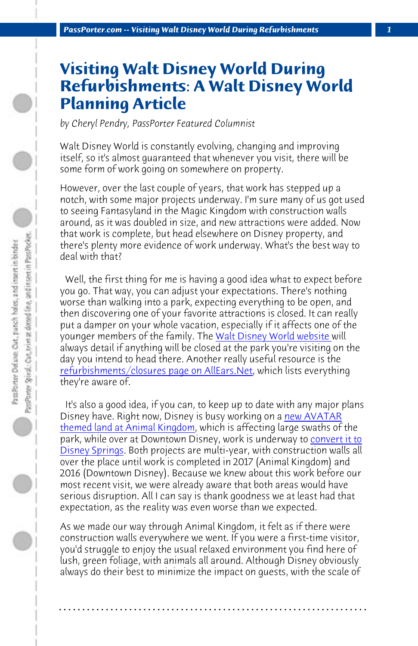*PassPorter.com -- Visiting Walt Disney World During Refurbishments 1*

## **Visiting Walt Disney World During Refurbishments: A Walt Disney World Planning Article**

*by Cheryl Pendry, PassPorter Featured Columnist*

Walt Disney World is constantly evol[ving, changing and improvin](https://disneyworld.disney.go.com/calendars/)g itself, so it's almost guaranteed that whenever you visit, there will be some form of work going on somewhere on property.

[However, over the last couple of years, that w](http://allears.net/pl/refurbishments-and-closings.htm)ork has stepped up a notch, with some major projects underway. I'm sure many of us got used to seeing Fantasyland in the Magic Kingdom with construction walls around, as it was doubled in size, and new attraction[s were added. N](http://allears.net/tp/ak/ak_avatar.htm)ow [that work is complete, but head](http://allears.net/tp/ak/ak_avatar.htm) elsewhere on Disney property, and there's plenty more evidence of work underway. What's the [best way to](http://allears.net/btp/disney-springs.htm) [deal with that?](http://allears.net/btp/disney-springs.htm)

 Well, the first thing for me is having a good idea what to expect before you go. That way, you can adjust your expectations. There's nothing worse than walking into a park, expecting everything to be open, and then discovering one of your favorite attractions is closed. It can really put a damper on your whole vacation, especially if it affects one of the younger members of the family. The Walt Disney World website will always detail if anything will be closed at the park you're visiting on the day you intend to head there. Another really useful resource is the refurbishments/closures page on AllEars.Net, which lists everything they're aware of.

 It's also a good idea, if you can, to keep up to date with any major plans Disney have. Right now, Disney is busy working on a new AVATAR themed land at Animal Kingdom, which is affecting large swaths of the park, while over at Downtown Disney, work is underway to convert it to Disney Springs. Both projects are multi-year, with construction walls all over the place until work is completed in 2017 (Animal Kingdom) and 2016 (Downtown Disney). Because we knew about this work before our most recent visit, we were already aware that both areas would have serious disruption. All I can say is thank goodness we at least had that expectation, as the reality was even worse than we expected.

As we made our way through Animal Kingdom, it felt as if there were construction walls everywhere we went. If you were a first-time visitor, you'd struggle to enjoy the usual relaxed environment you find here of lush, green foliage, with animals all around. Although Disney obviously always do their best to minimize the impact on guests, with the scale of

**. . . . . . . . . . . . . . . . . . . . . . . . . . . . . . . . . . . . . . . . . . . . . . . . . . . . . . . . . . . . . . . . . .**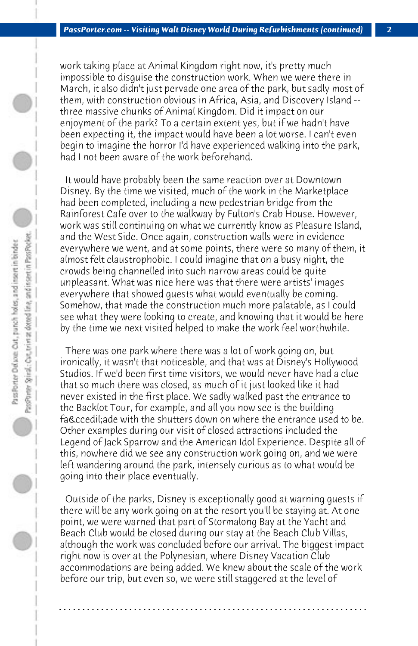work taking place at Animal Kingdom right now, it's pretty much impossible to disguise the construction work. When we were there in March, it also didn't just pervade one area of the park, but sadly most of them, with construction obvious in Africa, Asia, and Discovery Island - three massive chunks of Animal Kingdom. Did it impact on our enjoyment of the park? To a certain extent yes, but if we hadn't have been expecting it, the impact would have been a lot worse. I can't even begin to imagine the horror I'd have experienced walking into the park, had I not been aware of the work beforehand.

 It would have probably been the same reaction over at Downtown Disney. By the time we visited, much of the work in the Marketplace had been completed, including a new pedestrian bridge from the Rainforest Cafe over to the walkway by Fulton's Crab House. However, work was still continuing on what we currently know as Pleasure Island, and the West Side. Once again, construction walls were in evidence everywhere we went, and at some points, there were so many of them, it almost felt claustrophobic. I could imagine that on a busy night, the crowds being channelled into such narrow areas could be quite unpleasant. What was nice here was that there were artists' images everywhere that showed guests what would eventually be coming. Somehow, that made the construction much more palatable, as I could see what they were looking to create, and knowing that it would be here by the time we next visited helped to make the work feel worthwhile.

 There was one park where there was a lot of work going on, but ironically, it wasn't that noticeable, and that was at Disney's Hollywood Studios. If we'd been first time visitors, we would never have had a clue that so much there was closed, as much of it just looked like it had never existed in the first place. We sadly walked past the entrance to the Backlot Tour, for example, and all you now see is the building façade with the shutters down on where the entrance used to be. Other examples during our visit of closed attractions included the Legend of Jack Sparrow and the American Idol Experience. Despite all of this, nowhere did we see any construction work going on, and we were left wandering around the park, intensely curious as to what would be going into their place eventually.

 Outside of the parks, Disney is exceptionally good at warning guests if there will be any work going on at the resort you'll be staying at. At one point, we were warned that part of Stormalong Bay at the Yacht and Beach Club would be closed during our stay at the Beach Club Villas, although the work was concluded before our arrival. The biggest impact right now is over at the Polynesian, where Disney Vacation Club accommodations are being added. We knew about the scale of the work before our trip, but even so, we were still staggered at the level of

**. . . . . . . . . . . . . . . . . . . . . . . . . . . . . . . . . . . . . . . . . . . . . . . . . . . . . . . . . . . . . . . . . .**